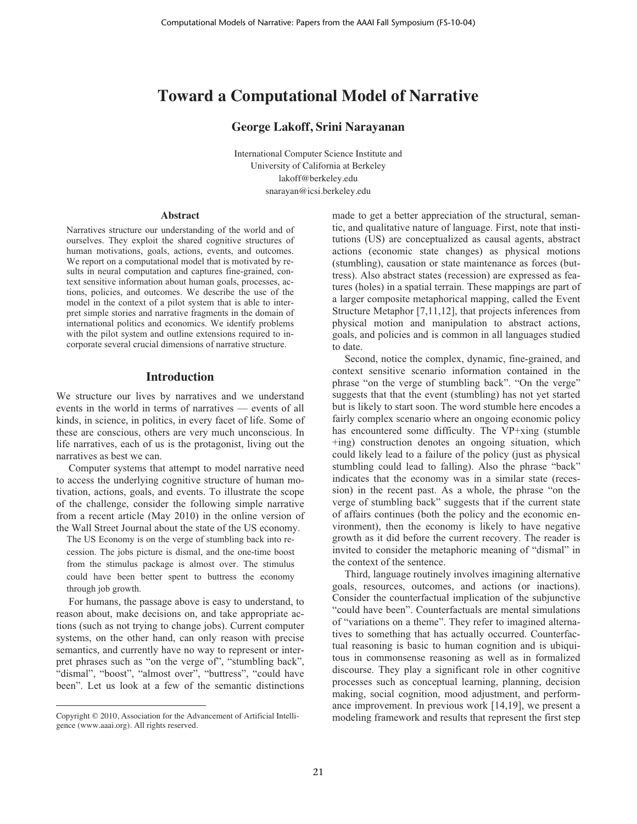# **Toward a Computational Model of Narrative**

# **George Lakoff, Srini Narayanan**

International Computer Science Institute and University of California at Berkeley lakoff@berkeley.edu snarayan@icsi.berkeley.edu

#### **Abstract**

Narratives structure our understanding of the world and of ourselves. They exploit the shared cognitive structures of human motivations, goals, actions, events, and outcomes. We report on a computational model that is motivated by results in neural computation and captures fine-grained, context sensitive information about human goals, processes, actions, policies, and outcomes. We describe the use of the model in the context of a pilot system that is able to interpret simple stories and narrative fragments in the domain of international politics and economics. We identify problems with the pilot system and outline extensions required to incorporate several crucial dimensions of narrative structure.

# **Introduction**

We structure our lives by narratives and we understand events in the world in terms of narratives — events of all kinds, in science, in politics, in every facet of life. Some of these are conscious, others are very much unconscious. In life narratives, each of us is the protagonist, living out the narratives as best we can.

Computer systems that attempt to model narrative need to access the underlying cognitive structure of human motivation, actions, goals, and events. To illustrate the scope of the challenge, consider the following simple narrative from a recent article (May 2010) in the online version of the Wall Street Journal about the state of the US economy.

The US Economy is on the verge of stumbling back into recession. The jobs picture is dismal, and the one-time boost from the stimulus package is almost over. The stimulus could have been better spent to buttress the economy through job growth.

For humans, the passage above is easy to understand, to reason about, make decisions on, and take appropriate actions (such as not trying to change jobs). Current computer systems, on the other hand, can only reason with precise semantics, and currently have no way to represent or interpret phrases such as "on the verge of", "stumbling back", "dismal", "boost", "almost over", "buttress", "could have been". Let us look at a few of the semantic distinctions

 $\overline{a}$ 

made to get a better appreciation of the structural, semantic, and qualitative nature of language. First, note that institutions (US) are conceptualized as causal agents, abstract actions (economic state changes) as physical motions (stumbling), causation or state maintenance as forces (buttress). Also abstract states (recession) are expressed as features (holes) in a spatial terrain. These mappings are part of a larger composite metaphorical mapping, called the Event Structure Metaphor [7,11,12], that projects inferences from physical motion and manipulation to abstract actions, goals, and policies and is common in all languages studied to date.

Second, notice the complex, dynamic, fine-grained, and context sensitive scenario information contained in the phrase "on the verge of stumbling back". "On the verge" suggests that that the event (stumbling) has not yet started but is likely to start soon. The word stumble here encodes a fairly complex scenario where an ongoing economic policy has encountered some difficulty. The VP+xing (stumble +ing) construction denotes an ongoing situation, which could likely lead to a failure of the policy (just as physical stumbling could lead to falling). Also the phrase "back" indicates that the economy was in a similar state (recession) in the recent past. As a whole, the phrase "on the verge of stumbling back" suggests that if the current state of affairs continues (both the policy and the economic environment), then the economy is likely to have negative growth as it did before the current recovery. The reader is invited to consider the metaphoric meaning of "dismal" in the context of the sentence.

Third, language routinely involves imagining alternative goals, resources, outcomes, and actions (or inactions). Consider the counterfactual implication of the subjunctive "could have been". Counterfactuals are mental simulations of "variations on a theme". They refer to imagined alternatives to something that has actually occurred. Counterfactual reasoning is basic to human cognition and is ubiquitous in commonsense reasoning as well as in formalized discourse. They play a significant role in other cognitive processes such as conceptual learning, planning, decision making, social cognition, mood adjustment, and performance improvement. In previous work [14,19], we present a modeling framework and results that represent the first step

Copyright © 2010, Association for the Advancement of Artificial Intelligence (www.aaai.org). All rights reserved.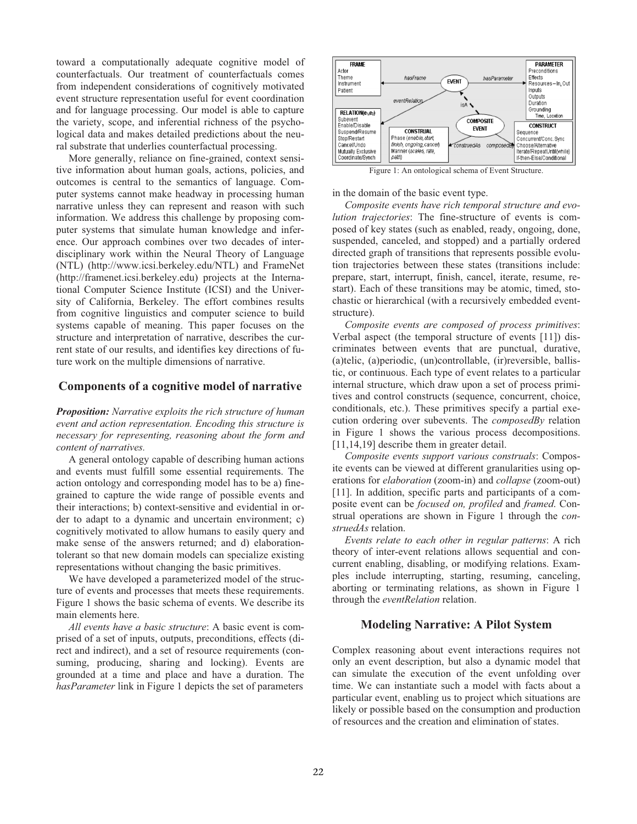toward a computationally adequate cognitive model of counterfactuals. Our treatment of counterfactuals comes from independent considerations of cognitively motivated event structure representation useful for event coordination and for language processing. Our model is able to capture the variety, scope, and inferential richness of the psychological data and makes detailed predictions about the neural substrate that underlies counterfactual processing.

More generally, reliance on fine-grained, context sensitive information about human goals, actions, policies, and outcomes is central to the semantics of language. Computer systems cannot make headway in processing human narrative unless they can represent and reason with such information. We address this challenge by proposing computer systems that simulate human knowledge and inference. Our approach combines over two decades of interdisciplinary work within the Neural Theory of Language (NTL) (http://www.icsi.berkeley.edu/NTL) and FrameNet (http://framenet.icsi.berkeley.edu) projects at the International Computer Science Institute (ICSI) and the University of California, Berkeley. The effort combines results from cognitive linguistics and computer science to build systems capable of meaning. This paper focuses on the structure and interpretation of narrative, describes the current state of our results, and identifies key directions of future work on the multiple dimensions of narrative.

# **Components of a cognitive model of narrative**

*Proposition: Narrative exploits the rich structure of human event and action representation. Encoding this structure is necessary for representing, reasoning about the form and content of narratives.*

A general ontology capable of describing human actions and events must fulfill some essential requirements. The action ontology and corresponding model has to be a) finegrained to capture the wide range of possible events and their interactions; b) context-sensitive and evidential in order to adapt to a dynamic and uncertain environment; c) cognitively motivated to allow humans to easily query and make sense of the answers returned; and d) elaborationtolerant so that new domain models can specialize existing representations without changing the basic primitives.

We have developed a parameterized model of the structure of events and processes that meets these requirements. Figure 1 shows the basic schema of events. We describe its main elements here.

*All events have a basic structure*: A basic event is comprised of a set of inputs, outputs, preconditions, effects (direct and indirect), and a set of resource requirements (consuming, producing, sharing and locking). Events are grounded at a time and place and have a duration. The *hasParameter* link in Figure 1 depicts the set of parameters



Figure 1: An ontological schema of Event Structure.

in the domain of the basic event type.

*Composite events have rich temporal structure and evolution trajectories*: The fine-structure of events is composed of key states (such as enabled, ready, ongoing, done, suspended, canceled, and stopped) and a partially ordered directed graph of transitions that represents possible evolution trajectories between these states (transitions include: prepare, start, interrupt, finish, cancel, iterate, resume, restart). Each of these transitions may be atomic, timed, stochastic or hierarchical (with a recursively embedded eventstructure).

*Composite events are composed of process primitives*: Verbal aspect (the temporal structure of events [11]) discriminates between events that are punctual, durative, (a)telic, (a)periodic, (un)controllable, (ir)reversible, ballistic, or continuous. Each type of event relates to a particular internal structure, which draw upon a set of process primitives and control constructs (sequence, concurrent, choice, conditionals, etc.). These primitives specify a partial execution ordering over subevents. The *composedBy* relation in Figure 1 shows the various process decompositions. [11,14,19] describe them in greater detail.

*Composite events support various construals*: Composite events can be viewed at different granularities using operations for *elaboration* (zoom-in) and *collapse* (zoom-out) [11]. In addition, specific parts and participants of a composite event can be *focused on, profiled* and *framed*. Construal operations are shown in Figure 1 through the *construedAs* relation.

*Events relate to each other in regular patterns*: A rich theory of inter-event relations allows sequential and concurrent enabling, disabling, or modifying relations. Examples include interrupting, starting, resuming, canceling, aborting or terminating relations, as shown in Figure 1 through the *eventRelation* relation.

# **Modeling Narrative: A Pilot System**

Complex reasoning about event interactions requires not only an event description, but also a dynamic model that can simulate the execution of the event unfolding over time. We can instantiate such a model with facts about a particular event, enabling us to project which situations are likely or possible based on the consumption and production of resources and the creation and elimination of states.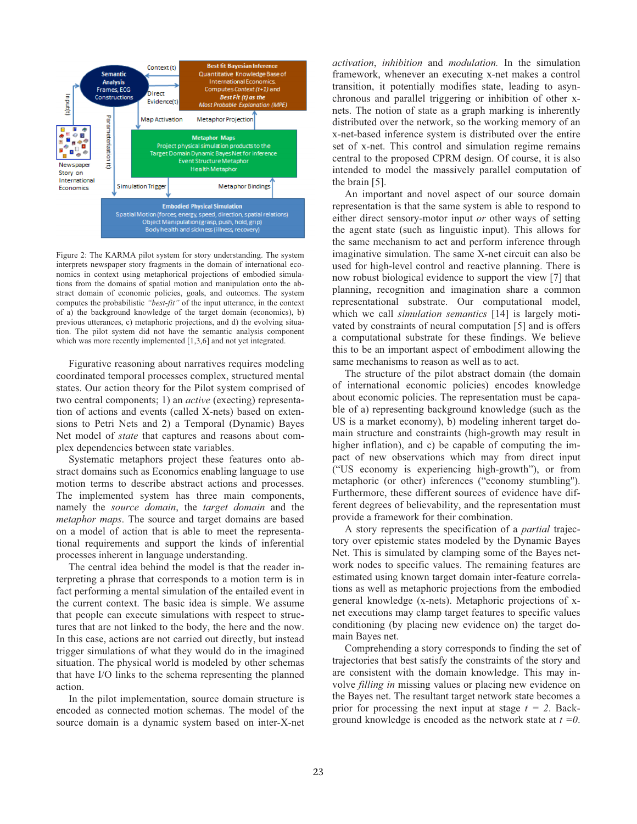

Figure 2: The KARMA pilot system for story understanding. The system interprets newspaper story fragments in the domain of international economics in context using metaphorical projections of embodied simulations from the domains of spatial motion and manipulation onto the abstract domain of economic policies, goals, and outcomes. The system computes the probabilistic *"best-fit"* of the input utterance, in the context of a) the background knowledge of the target domain (economics), b) previous utterances, c) metaphoric projections, and d) the evolving situation. The pilot system did not have the semantic analysis component which was more recently implemented [1,3,6] and not yet integrated.

Figurative reasoning about narratives requires modeling coordinated temporal processes complex, structured mental states. Our action theory for the Pilot system comprised of two central components; 1) an *active* (execting) representation of actions and events (called X-nets) based on extensions to Petri Nets and 2) a Temporal (Dynamic) Bayes Net model of *state* that captures and reasons about complex dependencies between state variables.

Systematic metaphors project these features onto abstract domains such as Economics enabling language to use motion terms to describe abstract actions and processes. The implemented system has three main components, namely the *source domain*, the *target domain* and the *metaphor maps*. The source and target domains are based on a model of action that is able to meet the representational requirements and support the kinds of inferential processes inherent in language understanding.

The central idea behind the model is that the reader interpreting a phrase that corresponds to a motion term is in fact performing a mental simulation of the entailed event in the current context. The basic idea is simple. We assume that people can execute simulations with respect to structures that are not linked to the body, the here and the now. In this case, actions are not carried out directly, but instead trigger simulations of what they would do in the imagined situation. The physical world is modeled by other schemas that have I/O links to the schema representing the planned action.

In the pilot implementation, source domain structure is encoded as connected motion schemas. The model of the source domain is a dynamic system based on inter-X-net *activation*, *inhibition* and *modulation.* In the simulation framework, whenever an executing x-net makes a control transition, it potentially modifies state, leading to asynchronous and parallel triggering or inhibition of other xnets. The notion of state as a graph marking is inherently distributed over the network, so the working memory of an x-net-based inference system is distributed over the entire set of x-net. This control and simulation regime remains central to the proposed CPRM design. Of course, it is also intended to model the massively parallel computation of the brain [5].

An important and novel aspect of our source domain representation is that the same system is able to respond to either direct sensory-motor input *or* other ways of setting the agent state (such as linguistic input). This allows for the same mechanism to act and perform inference through imaginative simulation. The same X-net circuit can also be used for high-level control and reactive planning. There is now robust biological evidence to support the view [7] that planning, recognition and imagination share a common representational substrate. Our computational model, which we call *simulation semantics* [14] is largely motivated by constraints of neural computation [5] and is offers a computational substrate for these findings. We believe this to be an important aspect of embodiment allowing the same mechanisms to reason as well as to act.

The structure of the pilot abstract domain (the domain of international economic policies) encodes knowledge about economic policies. The representation must be capable of a) representing background knowledge (such as the US is a market economy), b) modeling inherent target domain structure and constraints (high-growth may result in higher inflation), and c) be capable of computing the impact of new observations which may from direct input ("US economy is experiencing high-growth"), or from metaphoric (or other) inferences ("economy stumbling''). Furthermore, these different sources of evidence have different degrees of believability, and the representation must provide a framework for their combination.

A story represents the specification of a *partial* trajectory over epistemic states modeled by the Dynamic Bayes Net. This is simulated by clamping some of the Bayes network nodes to specific values. The remaining features are estimated using known target domain inter-feature correlations as well as metaphoric projections from the embodied general knowledge (x-nets). Metaphoric projections of xnet executions may clamp target features to specific values conditioning (by placing new evidence on) the target domain Bayes net.

Comprehending a story corresponds to finding the set of trajectories that best satisfy the constraints of the story and are consistent with the domain knowledge. This may involve *filling in* missing values or placing new evidence on the Bayes net. The resultant target network state becomes a prior for processing the next input at stage  $t = 2$ . Background knowledge is encoded as the network state at *t =0*.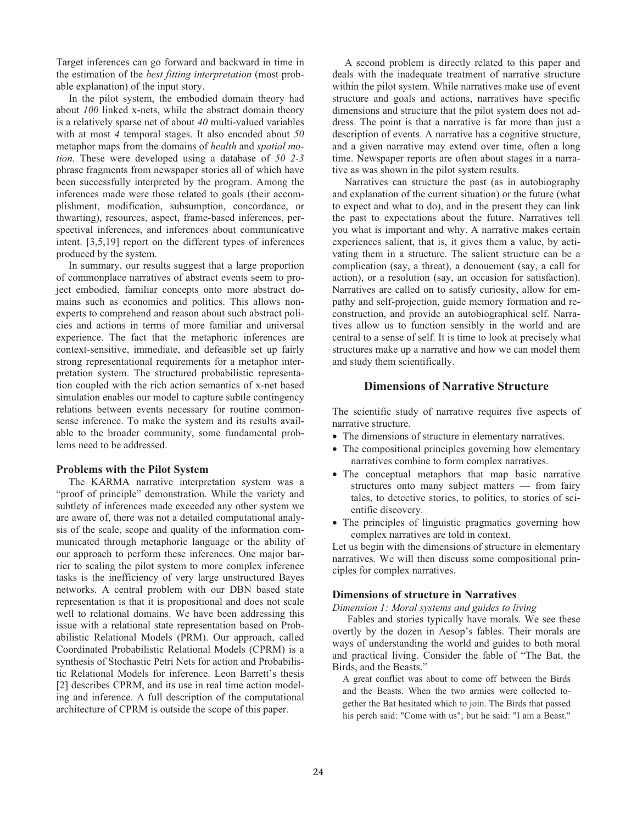Target inferences can go forward and backward in time in the estimation of the *best fitting interpretation* (most probable explanation) of the input story.

In the pilot system, the embodied domain theory had about *100* linked x-nets, while the abstract domain theory is a relatively sparse net of about *40* multi-valued variables with at most *4* temporal stages. It also encoded about *50* metaphor maps from the domains of *health* and *spatial motion*. These were developed using a database of *50 2-3* phrase fragments from newspaper stories all of which have been successfully interpreted by the program. Among the inferences made were those related to goals (their accomplishment, modification, subsumption, concordance, or thwarting), resources, aspect, frame-based inferences, perspectival inferences, and inferences about communicative intent. [3,5,19] report on the different types of inferences produced by the system.

In summary, our results suggest that a large proportion of commonplace narratives of abstract events seem to project embodied, familiar concepts onto more abstract domains such as economics and politics. This allows nonexperts to comprehend and reason about such abstract policies and actions in terms of more familiar and universal experience. The fact that the metaphoric inferences are context-sensitive, immediate, and defeasible set up fairly strong representational requirements for a metaphor interpretation system. The structured probabilistic representation coupled with the rich action semantics of x-net based simulation enables our model to capture subtle contingency relations between events necessary for routine commonsense inference. To make the system and its results available to the broader community, some fundamental problems need to be addressed.

#### **Problems with the Pilot System**

The KARMA narrative interpretation system was a "proof of principle" demonstration. While the variety and subtlety of inferences made exceeded any other system we are aware of, there was not a detailed computational analysis of the scale, scope and quality of the information communicated through metaphoric language or the ability of our approach to perform these inferences. One major barrier to scaling the pilot system to more complex inference tasks is the inefficiency of very large unstructured Bayes networks. A central problem with our DBN based state representation is that it is propositional and does not scale well to relational domains. We have been addressing this issue with a relational state representation based on Probabilistic Relational Models (PRM). Our approach, called Coordinated Probabilistic Relational Models (CPRM) is a synthesis of Stochastic Petri Nets for action and Probabilistic Relational Models for inference. Leon Barrett's thesis [2] describes CPRM, and its use in real time action modeling and inference. A full description of the computational architecture of CPRM is outside the scope of this paper.

A second problem is directly related to this paper and deals with the inadequate treatment of narrative structure within the pilot system. While narratives make use of event structure and goals and actions, narratives have specific dimensions and structure that the pilot system does not address. The point is that a narrative is far more than just a description of events. A narrative has a cognitive structure, and a given narrative may extend over time, often a long time. Newspaper reports are often about stages in a narrative as was shown in the pilot system results.

Narratives can structure the past (as in autobiography and explanation of the current situation) or the future (what to expect and what to do), and in the present they can link the past to expectations about the future. Narratives tell you what is important and why. A narrative makes certain experiences salient, that is, it gives them a value, by activating them in a structure. The salient structure can be a complication (say, a threat), a denouement (say, a call for action), or a resolution (say, an occasion for satisfaction). Narratives are called on to satisfy curiosity, allow for empathy and self-projection, guide memory formation and reconstruction, and provide an autobiographical self. Narratives allow us to function sensibly in the world and are central to a sense of self. It is time to look at precisely what structures make up a narrative and how we can model them and study them scientifically.

# **Dimensions of Narrative Structure**

The scientific study of narrative requires five aspects of narrative structure.

- The dimensions of structure in elementary narratives.
- The compositional principles governing how elementary narratives combine to form complex narratives.
- The conceptual metaphors that map basic narrative structures onto many subject matters — from fairy tales, to detective stories, to politics, to stories of scientific discovery.
- The principles of linguistic pragmatics governing how complex narratives are told in context.

Let us begin with the dimensions of structure in elementary narratives. We will then discuss some compositional principles for complex narratives.

# **Dimensions of structure in Narratives**

*Dimension 1: Moral systems and guides to living* 

 Fables and stories typically have morals. We see these overtly by the dozen in Aesop's fables. Their morals are ways of understanding the world and guides to both moral and practical living. Consider the fable of "The Bat, the Birds, and the Beasts."

A great conflict was about to come off between the Birds and the Beasts. When the two armies were collected together the Bat hesitated which to join. The Birds that passed his perch said: "Come with us"; but he said: "I am a Beast."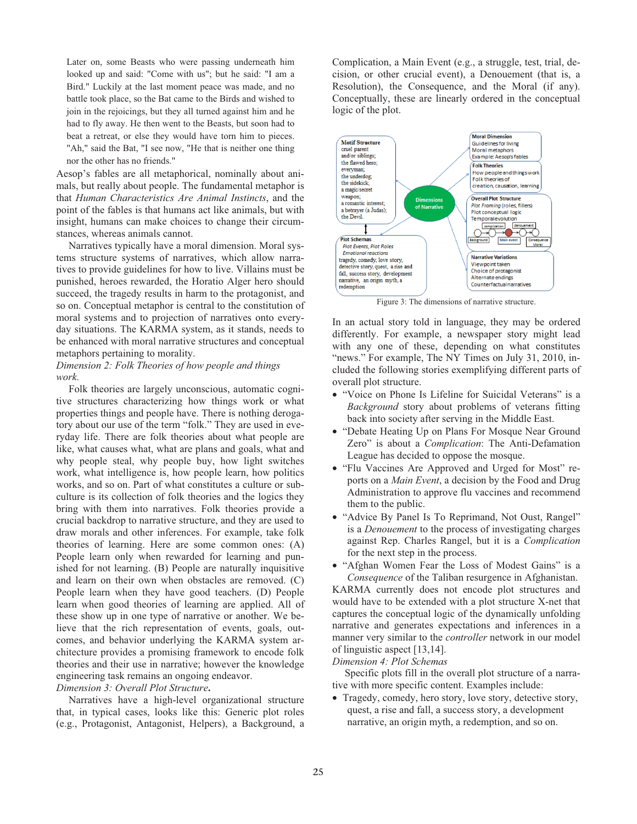Later on, some Beasts who were passing underneath him looked up and said: "Come with us"; but he said: "I am a Bird." Luckily at the last moment peace was made, and no battle took place, so the Bat came to the Birds and wished to join in the rejoicings, but they all turned against him and he had to fly away. He then went to the Beasts, but soon had to beat a retreat, or else they would have torn him to pieces. "Ah," said the Bat, "I see now, "He that is neither one thing nor the other has no friends."

Aesop's fables are all metaphorical, nominally about animals, but really about people. The fundamental metaphor is that *Human Characteristics Are Animal Instincts*, and the point of the fables is that humans act like animals, but with insight, humans can make choices to change their circumstances, whereas animals cannot.

Narratives typically have a moral dimension. Moral systems structure systems of narratives, which allow narratives to provide guidelines for how to live. Villains must be punished, heroes rewarded, the Horatio Alger hero should succeed, the tragedy results in harm to the protagonist, and so on. Conceptual metaphor is central to the constitution of moral systems and to projection of narratives onto everyday situations. The KARMA system, as it stands, needs to be enhanced with moral narrative structures and conceptual metaphors pertaining to morality.

## *Dimension 2: Folk Theories of how people and things work.*

Folk theories are largely unconscious, automatic cognitive structures characterizing how things work or what properties things and people have. There is nothing derogatory about our use of the term "folk." They are used in everyday life. There are folk theories about what people are like, what causes what, what are plans and goals, what and why people steal, why people buy, how light switches work, what intelligence is, how people learn, how politics works, and so on. Part of what constitutes a culture or subculture is its collection of folk theories and the logics they bring with them into narratives. Folk theories provide a crucial backdrop to narrative structure, and they are used to draw morals and other inferences. For example, take folk theories of learning. Here are some common ones: (A) People learn only when rewarded for learning and punished for not learning. (B) People are naturally inquisitive and learn on their own when obstacles are removed. (C) People learn when they have good teachers. (D) People learn when good theories of learning are applied. All of these show up in one type of narrative or another. We believe that the rich representation of events, goals, outcomes, and behavior underlying the KARMA system architecture provides a promising framework to encode folk theories and their use in narrative; however the knowledge engineering task remains an ongoing endeavor.

#### *Dimension 3: Overall Plot Structure***.**

Narratives have a high-level organizational structure that, in typical cases, looks like this: Generic plot roles (e.g., Protagonist, Antagonist, Helpers), a Background, a

Complication, a Main Event (e.g., a struggle, test, trial, decision, or other crucial event), a Denouement (that is, a Resolution), the Consequence, and the Moral (if any). Conceptually, these are linearly ordered in the conceptual logic of the plot.



Figure 3: The dimensions of narrative structure.

In an actual story told in language, they may be ordered differently. For example, a newspaper story might lead with any one of these, depending on what constitutes "news." For example, The NY Times on July 31, 2010, included the following stories exemplifying different parts of overall plot structure.

- "Voice on Phone Is Lifeline for Suicidal Veterans" is a *Background* story about problems of veterans fitting back into society after serving in the Middle East.
- "Debate Heating Up on Plans For Mosque Near Ground Zero" is about a *Complication*: The Anti-Defamation League has decided to oppose the mosque.
- "Flu Vaccines Are Approved and Urged for Most" reports on a *Main Event*, a decision by the Food and Drug Administration to approve flu vaccines and recommend them to the public.
- "Advice By Panel Is To Reprimand, Not Oust, Rangel" is a *Denouement* to the process of investigating charges against Rep. Charles Rangel, but it is a *Complication* for the next step in the process.

• "Afghan Women Fear the Loss of Modest Gains" is a *Consequence* of the Taliban resurgence in Afghanistan. KARMA currently does not encode plot structures and would have to be extended with a plot structure X-net that captures the conceptual logic of the dynamically unfolding narrative and generates expectations and inferences in a manner very similar to the *controller* network in our model of linguistic aspect [13,14].

#### *Dimension 4: Plot Schemas*

Specific plots fill in the overall plot structure of a narrative with more specific content. Examples include:

• Tragedy, comedy, hero story, love story, detective story, quest, a rise and fall, a success story, a development narrative, an origin myth, a redemption, and so on.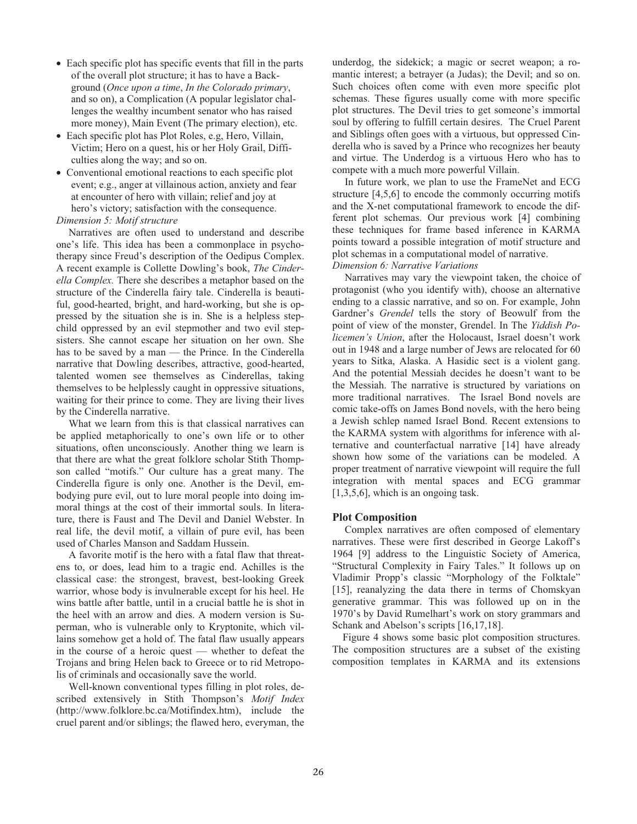- Each specific plot has specific events that fill in the parts of the overall plot structure; it has to have a Background (*Once upon a time*, *In the Colorado primary*, and so on), a Complication (A popular legislator challenges the wealthy incumbent senator who has raised more money), Main Event (The primary election), etc.
- Each specific plot has Plot Roles, e.g, Hero, Villain, Victim; Hero on a quest, his or her Holy Grail, Difficulties along the way; and so on.
- Conventional emotional reactions to each specific plot event; e.g., anger at villainous action, anxiety and fear at encounter of hero with villain; relief and joy at hero's victory; satisfaction with the consequence.

#### *Dimension 5: Motif structure*

Narratives are often used to understand and describe one's life. This idea has been a commonplace in psychotherapy since Freud's description of the Oedipus Complex. A recent example is Collette Dowling's book, *The Cinderella Complex.* There she describes a metaphor based on the structure of the Cinderella fairy tale. Cinderella is beautiful, good-hearted, bright, and hard-working, but she is oppressed by the situation she is in. She is a helpless stepchild oppressed by an evil stepmother and two evil stepsisters. She cannot escape her situation on her own. She has to be saved by a man — the Prince. In the Cinderella narrative that Dowling describes, attractive, good-hearted, talented women see themselves as Cinderellas, taking themselves to be helplessly caught in oppressive situations, waiting for their prince to come. They are living their lives by the Cinderella narrative.

What we learn from this is that classical narratives can be applied metaphorically to one's own life or to other situations, often unconsciously. Another thing we learn is that there are what the great folklore scholar Stith Thompson called "motifs." Our culture has a great many. The Cinderella figure is only one. Another is the Devil, embodying pure evil, out to lure moral people into doing immoral things at the cost of their immortal souls. In literature, there is Faust and The Devil and Daniel Webster. In real life, the devil motif, a villain of pure evil, has been used of Charles Manson and Saddam Hussein.

A favorite motif is the hero with a fatal flaw that threatens to, or does, lead him to a tragic end. Achilles is the classical case: the strongest, bravest, best-looking Greek warrior, whose body is invulnerable except for his heel. He wins battle after battle, until in a crucial battle he is shot in the heel with an arrow and dies. A modern version is Superman, who is vulnerable only to Kryptonite, which villains somehow get a hold of. The fatal flaw usually appears in the course of a heroic quest — whether to defeat the Trojans and bring Helen back to Greece or to rid Metropolis of criminals and occasionally save the world.

Well-known conventional types filling in plot roles, described extensively in Stith Thompson's *Motif Index* (http://www.folklore.bc.ca/Motifindex.htm), include the cruel parent and/or siblings; the flawed hero, everyman, the

underdog, the sidekick; a magic or secret weapon; a romantic interest; a betrayer (a Judas); the Devil; and so on. Such choices often come with even more specific plot schemas. These figures usually come with more specific plot structures. The Devil tries to get someone's immortal soul by offering to fulfill certain desires. The Cruel Parent and Siblings often goes with a virtuous, but oppressed Cinderella who is saved by a Prince who recognizes her beauty and virtue. The Underdog is a virtuous Hero who has to compete with a much more powerful Villain.

In future work, we plan to use the FrameNet and ECG structure [4,5,6] to encode the commonly occurring motifs and the X-net computational framework to encode the different plot schemas. Our previous work [4] combining these techniques for frame based inference in KARMA points toward a possible integration of motif structure and plot schemas in a computational model of narrative. *Dimension 6: Narrative Variations*

Narratives may vary the viewpoint taken, the choice of protagonist (who you identify with), choose an alternative ending to a classic narrative, and so on. For example, John Gardner's *Grendel* tells the story of Beowulf from the point of view of the monster, Grendel. In The *Yiddish Policemen's Union*, after the Holocaust, Israel doesn't work out in 1948 and a large number of Jews are relocated for 60 years to Sitka, Alaska. A Hasidic sect is a violent gang. And the potential Messiah decides he doesn't want to be the Messiah. The narrative is structured by variations on more traditional narratives. The Israel Bond novels are comic take-offs on James Bond novels, with the hero being a Jewish schlep named Israel Bond. Recent extensions to the KARMA system with algorithms for inference with alternative and counterfactual narrative [14] have already shown how some of the variations can be modeled. A proper treatment of narrative viewpoint will require the full integration with mental spaces and ECG grammar [1,3,5,6], which is an ongoing task.

### **Plot Composition**

Complex narratives are often composed of elementary narratives. These were first described in George Lakoff's 1964 [9] address to the Linguistic Society of America, "Structural Complexity in Fairy Tales." It follows up on Vladimir Propp's classic "Morphology of the Folktale" [15], reanalyzing the data there in terms of Chomskyan generative grammar. This was followed up on in the 1970's by David Rumelhart's work on story grammars and Schank and Abelson's scripts [16,17,18].

 Figure 4 shows some basic plot composition structures. The composition structures are a subset of the existing composition templates in KARMA and its extensions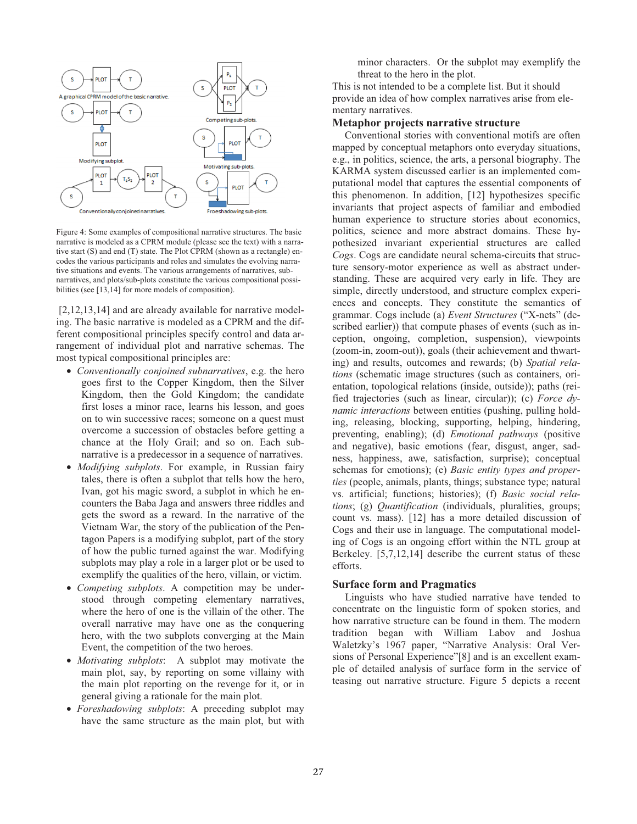

Figure 4: Some examples of compositional narrative structures. The basic narrative is modeled as a CPRM module (please see the text) with a narrative start (S) and end (T) state. The Plot CPRM (shown as a rectangle) encodes the various participants and roles and simulates the evolving narrative situations and events. The various arrangements of narratives, subnarratives, and plots/sub-plots constitute the various compositional possibilities (see [13,14] for more models of composition).

[2,12,13,14] and are already available for narrative modeling. The basic narrative is modeled as a CPRM and the different compositional principles specify control and data arrangement of individual plot and narrative schemas. The most typical compositional principles are:

- *Conventionally conjoined subnarratives*, e.g. the hero goes first to the Copper Kingdom, then the Silver Kingdom, then the Gold Kingdom; the candidate first loses a minor race, learns his lesson, and goes on to win successive races; someone on a quest must overcome a succession of obstacles before getting a chance at the Holy Grail; and so on. Each subnarrative is a predecessor in a sequence of narratives.
- *Modifying subplots*. For example, in Russian fairy tales, there is often a subplot that tells how the hero, Ivan, got his magic sword, a subplot in which he encounters the Baba Jaga and answers three riddles and gets the sword as a reward. In the narrative of the Vietnam War, the story of the publication of the Pentagon Papers is a modifying subplot, part of the story of how the public turned against the war. Modifying subplots may play a role in a larger plot or be used to exemplify the qualities of the hero, villain, or victim.
- *Competing subplots*. A competition may be understood through competing elementary narratives, where the hero of one is the villain of the other. The overall narrative may have one as the conquering hero, with the two subplots converging at the Main Event, the competition of the two heroes.
- *Motivating subplots*: A subplot may motivate the main plot, say, by reporting on some villainy with the main plot reporting on the revenge for it, or in general giving a rationale for the main plot.
- *Foreshadowing subplots*: A preceding subplot may have the same structure as the main plot, but with

minor characters. Or the subplot may exemplify the threat to the hero in the plot.

This is not intended to be a complete list. But it should provide an idea of how complex narratives arise from elementary narratives.

### **Metaphor projects narrative structure**

Conventional stories with conventional motifs are often mapped by conceptual metaphors onto everyday situations, e.g., in politics, science, the arts, a personal biography. The KARMA system discussed earlier is an implemented computational model that captures the essential components of this phenomenon. In addition, [12] hypothesizes specific invariants that project aspects of familiar and embodied human experience to structure stories about economics, politics, science and more abstract domains. These hypothesized invariant experiential structures are called *Cogs*. Cogs are candidate neural schema-circuits that structure sensory-motor experience as well as abstract understanding. These are acquired very early in life. They are simple, directly understood, and structure complex experiences and concepts. They constitute the semantics of grammar. Cogs include (a) *Event Structures* ("X-nets" (described earlier)) that compute phases of events (such as inception, ongoing, completion, suspension), viewpoints (zoom-in, zoom-out)), goals (their achievement and thwarting) and results, outcomes and rewards; (b) *Spatial relations* (schematic image structures (such as containers, orientation, topological relations (inside, outside)); paths (reified trajectories (such as linear, circular)); (c) *Force dynamic interactions* between entities (pushing, pulling holding, releasing, blocking, supporting, helping, hindering, preventing, enabling); (d) *Emotional pathways* (positive and negative), basic emotions (fear, disgust, anger, sadness, happiness, awe, satisfaction, surprise); conceptual schemas for emotions); (e) *Basic entity types and properties* (people, animals, plants, things; substance type; natural vs. artificial; functions; histories); (f) *Basic social relations*; (g) *Quantification* (individuals, pluralities, groups; count vs. mass). [12] has a more detailed discussion of Cogs and their use in language. The computational modeling of Cogs is an ongoing effort within the NTL group at Berkeley. [5,7,12,14] describe the current status of these efforts.

#### **Surface form and Pragmatics**

Linguists who have studied narrative have tended to concentrate on the linguistic form of spoken stories, and how narrative structure can be found in them. The modern tradition began with William Labov and Joshua Waletzky's 1967 paper, "Narrative Analysis: Oral Versions of Personal Experience"[8] and is an excellent example of detailed analysis of surface form in the service of teasing out narrative structure. Figure 5 depicts a recent